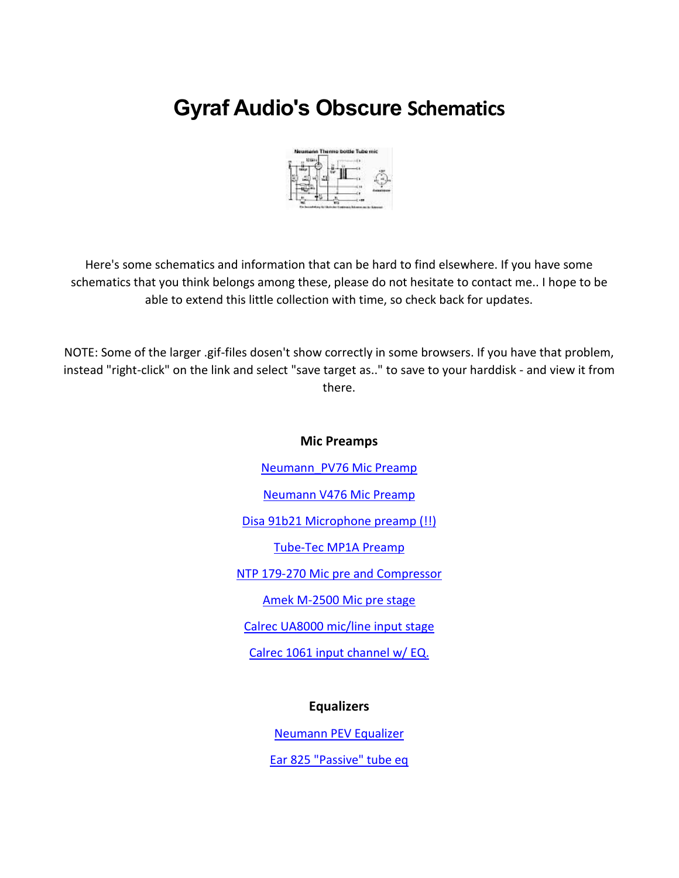# **Gyraf Audio's Obscure Schematics**



Here's some schematics and information that can be hard to find elsewhere. If you have some schematics that you think belongs among these, please do not hesitate to contact me.. I hope to be able to extend this little collection with time, so check back for updates.

NOTE: Some of the larger .gif-files dosen't show correctly in some browsers. If you have that problem, instead "right-click" on the link and select "save target as.." to save to your harddisk - and view it from there.

# **Mic Preamps**

[Neumann\\_PV76 Mic Preamp](http://gyraf.dk/schematics/Neumann_pv76.gif)

[Neumann V476 Mic Preamp](http://gyraf.dk/schematics/Neu_476.gif)

[Disa 91b21 Microphone preamp \(!!\)](http://gyraf.dk/schematics/Disa_91_b21_micamp.gif)

[Tube-Tec MP1A Preamp](http://gyraf.dk/schematics/tubetech_mp1a.gif)

[NTP 179-270 Mic pre and Compressor](http://gyraf.dk/schematics/ntp-179-270_schematic.jpg)

[Amek M-2500 Mic pre stage](http://gyraf.dk/schematics/Amek_2500_micamp.gif)

[Calrec UA8000 mic/line input stage](http://gyraf.dk/schematics/Calrec_UA8000_mic_input.gif)

[Calrec 1061 input channel w/ EQ.](http://gyraf.dk/schematics/Calrec_1061.gif)

# **Equalizers**

[Neumann PEV Equalizer](http://gyraf.dk/schematics/Neumann_pev.gif)

[Ear 825 "Passive" tube eq](http://gyraf.dk/schematics/Ear_825_EQ.GIF)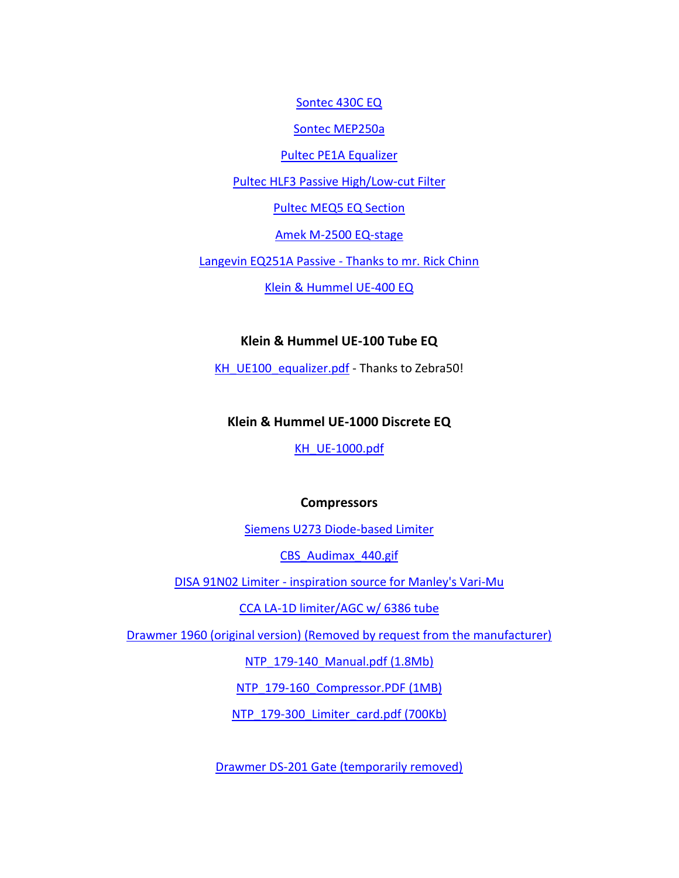[Sontec 430C EQ](http://gyraf.dk/schematics/audioboard432.gif)

[Sontec MEP250a](http://gyraf.dk/schematics/Sontec_MEP250a.GIF)

[Pultec PE1A Equalizer](http://www.gyraf.dk/gy_pd/pultec/pultech.gif)

[Pultec HLF3 Passive High/Low-cut Filter](http://gyraf.dk/schematics/Pultec_HLF3.pdf)

[Pultec MEQ5 EQ Section](http://www.gyraf.dk/gy_pd/pultec/meq5.gif)

[Amek M-2500 EQ-stage](http://gyraf.dk/schematics/amek_m2500_eq.gif)

[Langevin EQ251A Passive -](http://gyraf.dk/schematics/Langevin_EQ251A.GIF) Thanks to mr. Rick Chinn

[Klein & Hummel UE-400 EQ](http://gyraf.dk/schematics/K&H_ue-400.gif)

# **Klein & Hummel UE-100 Tube EQ**

[KH\\_UE100\\_equalizer.pdf](http://gyraf.dk/schematics/KH_UE100_equalizer.pdf) - Thanks to Zebra50!

# **Klein & Hummel UE-1000 Discrete EQ**

[KH\\_UE-1000.pdf](http://gyraf.dk/schematics/KH_UE-1000.pdf)

#### **Compressors**

[Siemens U273 Diode-based Limiter](http://gyraf.dk/schematics/Siemens_U273_Limiter.pdf)

[CBS\\_Audimax\\_440.gif](http://gyraf.dk/schematics/CBS_Audimax_440.gif)

DISA 91N02 Limiter - [inspiration source for Manley's Vari-Mu](http://gyraf.dk/schematics/Disa91n_02_limiter.gif)

[CCA LA-1D limiter/AGC w/ 6386 tube](http://gyraf.dk/schematics/CCA_LA1D_Limiter.gif)

[Drawmer 1960 \(original version\) \(Removed by request from the manufacturer\)](http://gyraf.dk/schematics/DRAWMER1960.PDF)

[NTP\\_179-140\\_Manual.pdf \(1.8Mb\)](http://gyraf.dk/schematics/NTP_179-140_Manual.pdf)

NTP 179-160 Compressor.PDF (1MB)

[NTP\\_179-300\\_Limiter\\_card.pdf \(700Kb\)](http://gyraf.dk/schematics/NTP_179-300_Limiter_card.pdf)

[Drawmer DS-201 Gate \(temporarily removed\)](http://gyraf.dk/schematics/Drawmer_DS201_.pdf)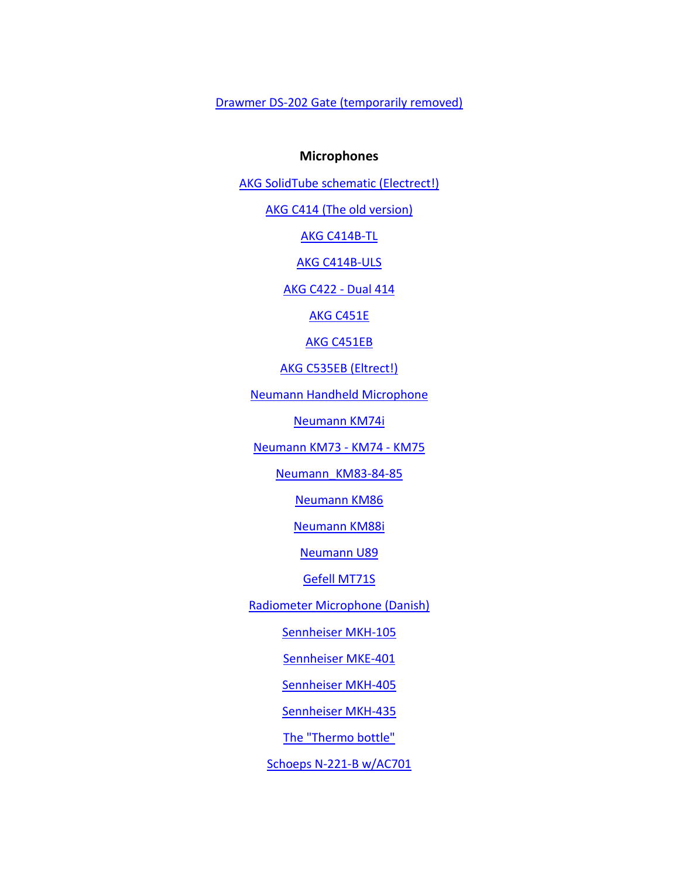[Drawmer DS-202 Gate \(temporarily removed\)](http://gyraf.dk/schematics/Drawmer_DS202_.pdf)

#### **Microphones**

[AKG SolidTube schematic \(Electrect!\)](http://gyraf.dk/schematics/AKG_SolidTube_Schematic.gif)

[AKG C414 \(The old](http://gyraf.dk/schematics/AKG_C414_old.GIF) version)

[AKG C414B-TL](http://gyraf.dk/schematics/AKG_C414B-TL.GIF)

[AKG C414B-ULS](http://gyraf.dk/schematics/AKG_C414B-ULS.GIF)

[AKG C422 -](http://gyraf.dk/schematics/AKG_C422.gif) Dual 414

[AKG C451E](http://gyraf.dk/schematics/AKG_C451E.GIF)

[AKG C451EB](http://gyraf.dk/schematics/AKG_C451EB.GIF)

[AKG C535EB \(Eltrect!\)](http://gyraf.dk/schematics/AKG_C535EB.GIF)

[Neumann Handheld Microphone](http://gyraf.dk/schematics/Neumann_Handheld.GIF)

[Neumann KM74i](http://gyraf.dk/schematics/KM74i.pdf)

[Neumann KM73 -](http://gyraf.dk/schematics/NeumannKM73_74_75.pdf) KM74 - KM75

Neumann KM83-84-85

[Neumann KM86](http://gyraf.dk/schematics/km86sch.gif)

[Neumann KM88i](http://gyraf.dk/schematics/Neumann_KM88i.GIF)

[Neumann U89](http://gyraf.dk/schematics/u89sch.jpg)

[Gefell MT71S](http://gyraf.dk/schematics/Gefell%20MT71S.gif)

[Radiometer Microphone \(Danish\)](http://gyraf.dk/schematics/Radiometer_Mic.GIF)

[Sennheiser MKH-105](http://gyraf.dk/schematics/SennheiserMkh-105.jpg)

[Sennheiser MKE-401](http://gyraf.dk/schematics/Sennheisser_MKE-401.GIF)

[Sennheiser MKH-405](http://gyraf.dk/schematics/Sennheiser_Mkh-405.jpg)

[Sennheiser MKH-435](http://gyraf.dk/schematics/Sennheisser_MKH-435.GIF)

[The "Thermo bottle"](http://gyraf.dk/schematics/Thermo_bottle_Tube_mic.GIF)

[Schoeps N-221-B w/AC701](http://gyraf.dk/schematics/221bschem1.gif)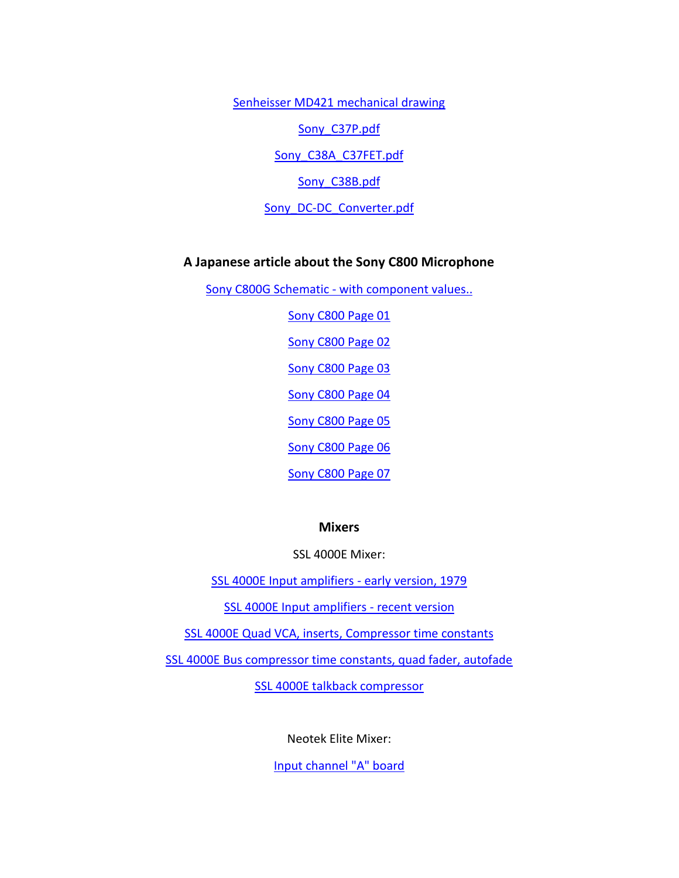[Senheisser MD421 mechanical drawing](http://gyraf.dk/schematics/Senheisser_MD421.gif)

Sony C37P.pdf

Sony C38A C37FET.pdf

Sony C38B.pdf

[Sony\\_DC-DC\\_Converter.pdf](http://gyraf.dk/schematics/Sony_DC-DC_Converter.pdf)

#### **A Japanese article about the Sony C800 Microphone**

Sony C800G Schematic - [with component values..](http://gyraf.dk/schematics/Sony_C800G_Schematic.gif)

[Sony C800 Page 01](http://gyraf.dk/schematics/Sony_C800_Article_01.gif)

[Sony C800 Page 02](http://gyraf.dk/schematics/Sony_C800_Article_02.gif)

[Sony C800 Page 03](http://gyraf.dk/schematics/Sony_C800_Article_03.gif)

[Sony C800 Page 04](http://gyraf.dk/schematics/Sony_C800_Article_04.gif)

[Sony C800 Page 05](http://gyraf.dk/schematics/Sony_C800_Article_05.gif)

[Sony C800 Page 06](http://gyraf.dk/schematics/Sony_C800_Article_06.gif)

[Sony C800 Page 07](http://gyraf.dk/schematics/Sony_C800_Article_07.gif)

#### **Mixers**

SSL 4000E Mixer:

[SSL 4000E Input amplifiers -](http://gyraf.dk/schematics/SSL_82E01_Channel_Amplifier_Old.GIF) early version, 1979

[SSL 4000E Input amplifiers -](http://gyraf.dk/schematics/SSL_82E01_Channel_Amplifier.GIF) recent version

[SSL 4000E Quad VCA, inserts, Compressor time constants](http://www.gyraf.dk/gy_pd/ssl/ssl_82e26.gif)

[SSL 4000E Bus compressor time constants, quad fader, autofade](http://www.gyraf.dk/gy_pd/ssl/ssl_82e27.gif)

[SSL 4000E talkback compressor](http://gyraf.dk/schematics/SSL_82E33_Talkback.GIF)

Neotek Elite Mixer:

[Input channel "A" board](http://gyraf.dk/schematics/Neotek_Elite_Input_A.GIF)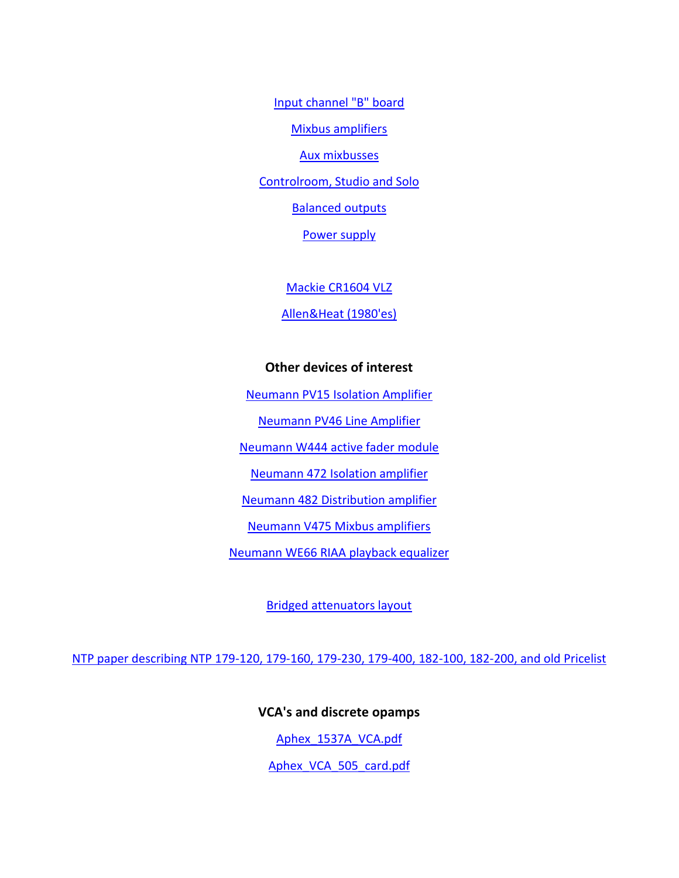[Input channel "B" board](http://gyraf.dk/schematics/Neotek_Elite_Input_B.GIF) [Mixbus amplifiers](http://gyraf.dk/schematics/Neotek_Elite_Mixamps.GIF)

[Aux mixbusses](http://gyraf.dk/schematics/Neotek_Elite_Aux_Mixamps.GIF) [Controlroom, Studio and Solo](http://gyraf.dk/schematics/Neotek_Elite_CR-Studio-solo.GIF)

[Balanced outputs](http://gyraf.dk/schematics/Neotek_Elite_Bal_Outputs.GIF)

[Power supply](http://gyraf.dk/schematics/Neotek_Elite_PSU.GIF)

[Mackie CR1604 VLZ](http://gyraf.dk/schematics/Mackie%20CR1604%20VLZ.pdf)

[Allen&Heat \(1980'es\)](http://gyraf.dk/schematics/Allen_heat%20mixer.GIF)

# **Other devices of interest**

[Neumann PV15 Isolation Amplifier](http://gyraf.dk/schematics/Pv15.gif)

[Neumann PV46 Line Amplifier](http://gyraf.dk/schematics/Pv46.gif)

[Neumann W444 active fader module](http://gyraf.dk/schematics/Neu_444.gif)

[Neumann 472 Isolation amplifier](http://gyraf.dk/schematics/Neu_472.gif)

[Neumann 482 Distribution amplifier](http://gyraf.dk/schematics/Neu_482.gif)

[Neumann V475 Mixbus amplifiers](http://gyraf.dk/schematics/Neu_v475.gif)

[Neumann WE66 RIAA playback equalizer](http://gyraf.dk/schematics/Neumann_Playback_Equalizer_WE_66.pdf)

[Bridged attenuators layout](http://gyraf.dk/schematics/bridge-attenuator.gif)

[NTP paper describing NTP 179-120, 179-160, 179-230, 179-400, 182-100, 182-200, and old Pricelist](http://gyraf.dk/schematics/NTP_Brochure.pdf)

**VCA's and discrete opamps** [Aphex\\_1537A\\_VCA.pdf](http://gyraf.dk/schematics/Aphex_1537A_VCA.pdf)

[Aphex\\_VCA\\_505\\_card.pdf](http://gyraf.dk/schematics/Aphex_VCA_505_card.pdf)